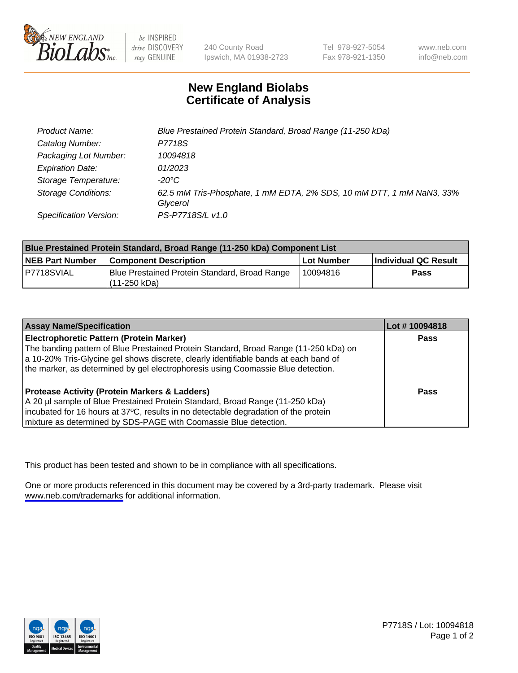

be INSPIRED drive DISCOVERY stay GENUINE

240 County Road Ipswich, MA 01938-2723 Tel 978-927-5054 Fax 978-921-1350

www.neb.com info@neb.com

## **New England Biolabs Certificate of Analysis**

| Product Name:              | Blue Prestained Protein Standard, Broad Range (11-250 kDa)                       |
|----------------------------|----------------------------------------------------------------------------------|
| Catalog Number:            | P7718S                                                                           |
| Packaging Lot Number:      | 10094818                                                                         |
| <b>Expiration Date:</b>    | 01/2023                                                                          |
| Storage Temperature:       | -20°C                                                                            |
| <b>Storage Conditions:</b> | 62.5 mM Tris-Phosphate, 1 mM EDTA, 2% SDS, 10 mM DTT, 1 mM NaN3, 33%<br>Glycerol |
| Specification Version:     | PS-P7718S/L v1.0                                                                 |

| Blue Prestained Protein Standard, Broad Range (11-250 kDa) Component List |                                                                 |              |                      |  |
|---------------------------------------------------------------------------|-----------------------------------------------------------------|--------------|----------------------|--|
| <b>NEB Part Number</b>                                                    | <b>Component Description</b>                                    | l Lot Number | Individual QC Result |  |
| P7718SVIAL                                                                | Blue Prestained Protein Standard, Broad Range<br>l (11-250 kDa) | 10094816     | <b>Pass</b>          |  |

| <b>Assay Name/Specification</b>                                                      | Lot #10094818 |
|--------------------------------------------------------------------------------------|---------------|
| <b>Electrophoretic Pattern (Protein Marker)</b>                                      | <b>Pass</b>   |
| The banding pattern of Blue Prestained Protein Standard, Broad Range (11-250 kDa) on |               |
| a 10-20% Tris-Glycine gel shows discrete, clearly identifiable bands at each band of |               |
| the marker, as determined by gel electrophoresis using Coomassie Blue detection.     |               |
|                                                                                      |               |
| <b>Protease Activity (Protein Markers &amp; Ladders)</b>                             | <b>Pass</b>   |
| A 20 µl sample of Blue Prestained Protein Standard, Broad Range (11-250 kDa)         |               |
| incubated for 16 hours at 37°C, results in no detectable degradation of the protein  |               |
| mixture as determined by SDS-PAGE with Coomassie Blue detection.                     |               |

This product has been tested and shown to be in compliance with all specifications.

One or more products referenced in this document may be covered by a 3rd-party trademark. Please visit <www.neb.com/trademarks>for additional information.